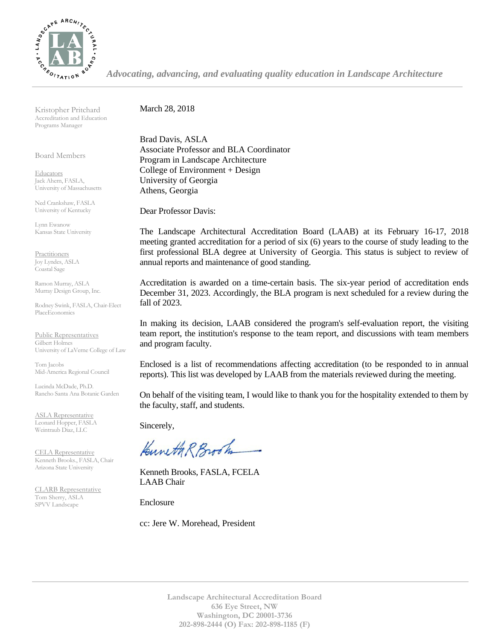

*Advocating, advancing, and evaluating quality education in Landscape Architecture*

Kristopher Pritchard Accreditation and Education Programs Manager

Board Members

**Educators** Jack Ahern, FASLA, University of Massachusetts

Ned Crankshaw, FASLA University of Kentucky

Lynn Ewanow Kansas State University

**Practitioners** Joy Lyndes, ASLA Coastal Sage

Ramon Murray, ASLA Murray Design Group, Inc.

Rodney Swink, FASLA, Chair-Elect PlaceEconomics

Public Representatives Gilbert Holmes University of LaVerne College of Law

Tom Jacobs Mid-America Regional Council

Lucinda McDade, Ph.D. Rancho Santa Ana Botanic Garden

ASLA Representative Leonard Hopper, FASLA Weintraub Diaz, LLC

CELA Representative Kenneth Brooks., FASLA, Chair Arizona State University

CLARB Representative Tom Sherry, ASLA SPVV Landscape

March 28, 2018

Brad Davis, ASLA Associate Professor and BLA Coordinator Program in Landscape Architecture College of Environment + Design University of Georgia Athens, Georgia

Dear Professor Davis:

The Landscape Architectural Accreditation Board (LAAB) at its February 16-17, 2018 meeting granted accreditation for a period of six (6) years to the course of study leading to the first professional BLA degree at University of Georgia. This status is subject to review of annual reports and maintenance of good standing.

Accreditation is awarded on a time-certain basis. The six-year period of accreditation ends December 31, 2023. Accordingly, the BLA program is next scheduled for a review during the fall of 2023.

In making its decision, LAAB considered the program's self-evaluation report, the visiting team report, the institution's response to the team report, and discussions with team members and program faculty.

Enclosed is a list of recommendations affecting accreditation (to be responded to in annual reports). This list was developed by LAAB from the materials reviewed during the meeting.

On behalf of the visiting team, I would like to thank you for the hospitality extended to them by the faculty, staff, and students.

Sincerely,

Kuneth R Brook

Kenneth Brooks, FASLA, FCELA LAAB Chair

Enclosure

cc: Jere W. Morehead, President